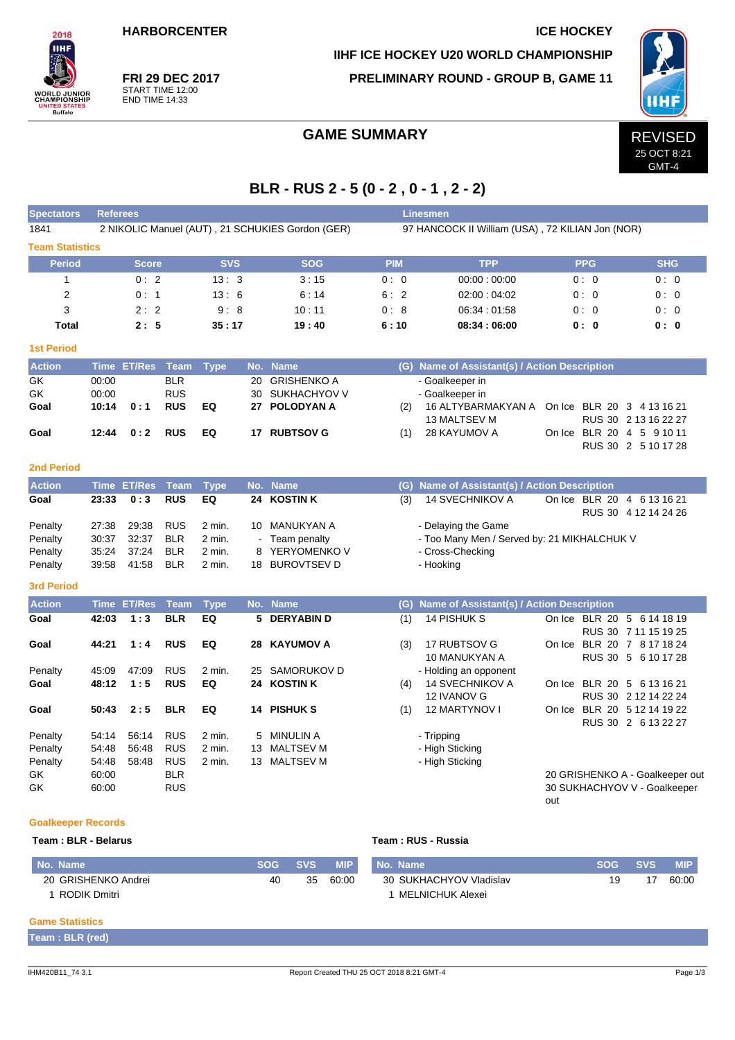**HARBORCENTER ICE HOCKEY** 

 $2018$ **IIHF** 

**ORLD JUNIOR**<br>HAMPIONSHIP

UNITED STATES<br>Buffalo

**FRI 29 DEC 2017** START TIME 12:00 END TIME 14:33

## **IIHF ICE HOCKEY U20 WORLD CHAMPIONSHIP PRELIMINARY ROUND - GROUP B, GAME 11**



GMT-4

## GAME SUMMARY REVISED

## **BLR - RUS 2 - 5 (0 - 2 , 0 - 1 , 2 - 2)**

| <b>Spectators</b>         | <b>Referees</b> |                    |             |             |    |                                                  |            | Linesmen                                         |                             |                                 |
|---------------------------|-----------------|--------------------|-------------|-------------|----|--------------------------------------------------|------------|--------------------------------------------------|-----------------------------|---------------------------------|
| 1841                      |                 |                    |             |             |    | 2 NIKOLIC Manuel (AUT), 21 SCHUKIES Gordon (GER) |            | 97 HANCOCK II William (USA), 72 KILIAN Jon (NOR) |                             |                                 |
| <b>Team Statistics</b>    |                 |                    |             |             |    |                                                  |            |                                                  |                             |                                 |
| <b>Period</b>             |                 | <b>Score</b>       |             | <b>SVS</b>  |    | <b>SOG</b>                                       | <b>PIM</b> | <b>TPP</b>                                       | <b>PPG</b>                  | <b>SHG</b>                      |
| $\mathbf{1}$              |                 | 0:2                |             | 13:3        |    | 3:15                                             | 0:0        | 00:00:00:00                                      | 0:0                         | 0:0                             |
| 2                         |                 | 0:1                |             | 13:6        |    | 6:14                                             | 6:2        | 02:00:04:02                                      | 0:0                         | 0:0                             |
| 3                         |                 | 2:2                |             | 9:8         |    | 10:11                                            | 0:8        | 06:34:01:58                                      | 0:0                         | 0:0                             |
| <b>Total</b>              |                 | 2:5                |             | 35:17       |    | 19:40                                            | 6:10       | 08:34:06:00                                      | 0:0                         | 0:0                             |
| <b>1st Period</b>         |                 |                    |             |             |    |                                                  |            |                                                  |                             |                                 |
| <b>Action</b>             |                 | Time ET/Res        | Team        | <b>Type</b> |    | No. Name                                         |            | (G) Name of Assistant(s) / Action Description    |                             |                                 |
| $\overline{GK}$           | 00:00           |                    | <b>BLR</b>  |             | 20 | <b>GRISHENKO A</b>                               |            | - Goalkeeper in                                  |                             |                                 |
| GK                        | 00:00           |                    | <b>RUS</b>  |             | 30 | SUKHACHYOV V                                     |            | - Goalkeeper in                                  |                             |                                 |
| Goal                      | 10:14           | 0:1                | <b>RUS</b>  | EQ          | 27 | <b>POLODYAN A</b>                                | (2)        | 16 ALTYBARMAKYAN A<br><b>13 MALTSEV M</b>        | On Ice BLR 20 3 4 13 16 21  | RUS 30 2 13 16 22 27            |
| Goal                      | 12:44           | 0:2                | <b>RUS</b>  | EQ          |    | 17 RUBTSOV G                                     | (1)        | 28 KAYUMOV A                                     | On Ice BLR 20 4 5 9 10 11   |                                 |
|                           |                 |                    |             |             |    |                                                  |            |                                                  |                             | RUS 30 2 5 10 17 28             |
| <b>2nd Period</b>         |                 |                    |             |             |    |                                                  |            |                                                  |                             |                                 |
| <b>Action</b>             |                 | <b>Time ET/Res</b> | <b>Team</b> | <b>Type</b> |    | No. Name                                         | (G)        | Name of Assistant(s) / Action Description        |                             |                                 |
| Goal                      | 23:33           | 0:3                | <b>RUS</b>  | EQ          |    | 24 KOSTIN K                                      | (3)        | <b>14 SVECHNIKOV A</b>                           | On Ice BLR 20 4 6 13 16 21  | RUS 30 4 12 14 24 26            |
| Penalty                   | 27:38           | 29:38              | <b>RUS</b>  | 2 min.      |    | 10 MANUKYAN A                                    |            | - Delaying the Game                              |                             |                                 |
| Penalty                   | 30:37           | 32:37              | <b>BLR</b>  | 2 min.      |    | Team penalty                                     |            | - Too Many Men / Served by: 21 MIKHALCHUK V      |                             |                                 |
| Penalty                   | 35:24           | 37:24              | <b>BLR</b>  | 2 min.      | 8  | YERYOMENKO V                                     |            | - Cross-Checking                                 |                             |                                 |
| Penalty                   | 39.58           | 41:58              | <b>BLR</b>  | 2 min.      |    | 18 BUROVTSEV D                                   |            | - Hooking                                        |                             |                                 |
| <b>3rd Period</b>         |                 |                    |             |             |    |                                                  |            |                                                  |                             |                                 |
| <b>Action</b>             |                 | Time ET/Res        | <b>Team</b> | <b>Type</b> |    | No. Name                                         | (G)        | Name of Assistant(s) / Action Description        |                             |                                 |
| Goal                      | 42:03           | 1:3                | <b>BLR</b>  | EQ          | 5  | <b>DERYABIND</b>                                 | (1)        | 14 PISHUK S                                      | On Ice BLR 20 5 6 14 18 19  |                                 |
|                           |                 |                    |             |             |    |                                                  |            |                                                  |                             | RUS 30 7 11 15 19 25            |
| Goal                      | 44:21           | 1:4                | <b>RUS</b>  | EQ          | 28 | <b>KAYUMOV A</b>                                 | (3)        | 17 RUBTSOV G                                     | On Ice BLR 20 7 8 17 18 24  |                                 |
|                           |                 |                    |             |             |    |                                                  |            | 10 MANUKYAN A                                    |                             | RUS 30 5 6 10 17 28             |
| Penalty                   | 45:09           | 47:09              | <b>RUS</b>  | 2 min.      | 25 | SAMORUKOV D                                      |            | - Holding an opponent                            |                             |                                 |
| Goal                      | 48:12           | 1:5                | <b>RUS</b>  | EQ          | 24 | <b>KOSTINK</b>                                   | (4)        | <b>14 SVECHNIKOV A</b>                           | On Ice BLR 20 5 6 13 16 21  |                                 |
| Goal                      | 50:43           | 2:5                | <b>BLR</b>  | EQ          | 14 | <b>PISHUK S</b>                                  | (1)        | 12 IVANOV G<br>12 MARTYNOV I                     | On Ice BLR 20 5 12 14 19 22 | RUS 30 2 12 14 22 24            |
|                           |                 |                    |             |             |    |                                                  |            |                                                  |                             | RUS 30 2 6 13 22 27             |
| Penalty                   | 54:14           | 56:14              | <b>RUS</b>  | 2 min.      | 5  | <b>MINULIN A</b>                                 |            | - Tripping                                       |                             |                                 |
| Penalty                   | 54:48           | 56:48              | <b>RUS</b>  | 2 min.      | 13 | <b>MALTSEV M</b>                                 |            | - High Sticking                                  |                             |                                 |
| Penalty                   | 54:48           | 58:48              | <b>RUS</b>  | 2 min.      |    | 13 MALTSEV M                                     |            | - High Sticking                                  |                             |                                 |
| GK                        | 60:00           |                    | <b>BLR</b>  |             |    |                                                  |            |                                                  |                             | 20 GRISHENKO A - Goalkeeper out |
| GK                        | 60:00           |                    | <b>RUS</b>  |             |    |                                                  |            |                                                  | out                         | 30 SUKHACHYOV V - Goalkeeper    |
| <b>Goalkeeper Records</b> |                 |                    |             |             |    |                                                  |            |                                                  |                             |                                 |

### **Team : BLR - Belarus Team : RUS - Russia**

| No. Name            | <b>SOG</b> | <b>SVS</b> | <b>MIP</b> | No. Name                | <b>SOG</b> | <b>SVS</b> | MIP.  |
|---------------------|------------|------------|------------|-------------------------|------------|------------|-------|
| 20 GRISHENKO Andrei | 40         | 35         | 60:00      | 30 SUKHACHYOV Vladislav | 19         | -17        | 60:00 |
| RODIK Dmitri        |            |            |            | MELNICHUK Alexei        |            |            |       |

#### **Game Statistics**

**Team : BLR (red)**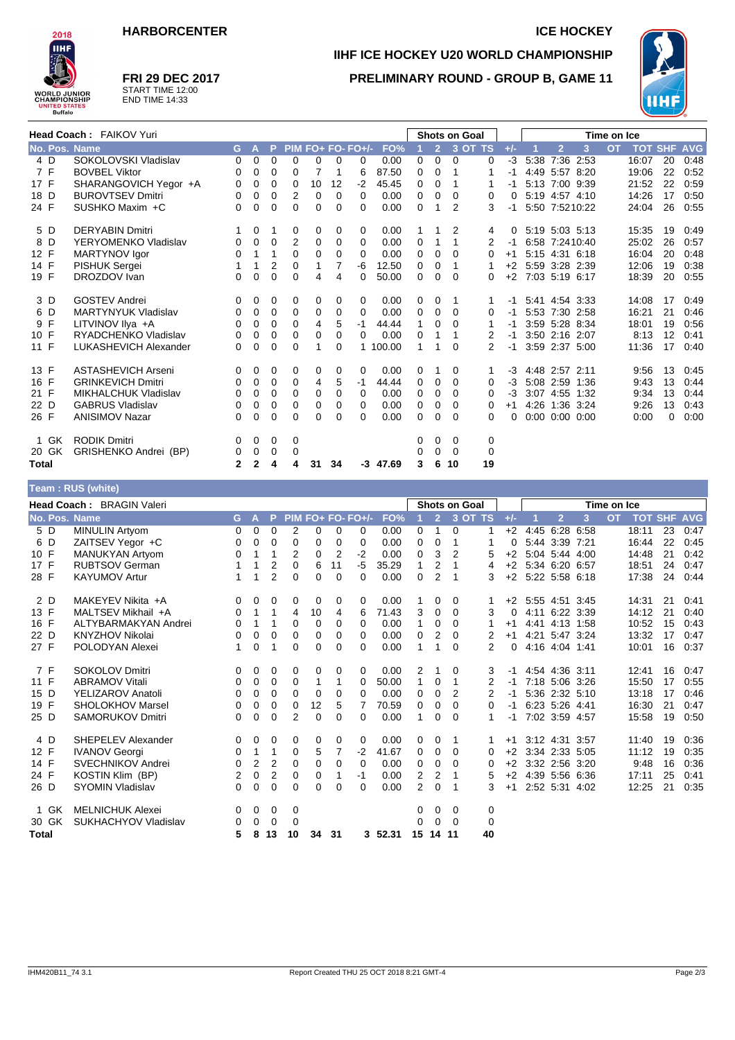



## **FRI 29 DEC 2017** START TIME 12:00 END TIME 14:33

# **IIHF ICE HOCKEY U20 WORLD CHAMPIONSHIP PRELIMINARY ROUND - GROUP B, GAME 11**



|               | Head Coach: FAIKOV Yuri    |   |          |             |          |                |          |                   |            |   |                | <b>Shots on Goal</b> |    |       |      |                      |      | Time on Ice |                |    |            |
|---------------|----------------------------|---|----------|-------------|----------|----------------|----------|-------------------|------------|---|----------------|----------------------|----|-------|------|----------------------|------|-------------|----------------|----|------------|
| No. Pos. Name |                            | G | Α        | P           |          |                |          | $PIM FO+FO-FO+/-$ | FO%        |   | $\overline{2}$ | 3 OT TS              |    | $+/-$ |      | $\overline{2}$       | 3    | <b>OT</b>   | <b>TOT SHF</b> |    | <b>AVG</b> |
| 4 D           | SOKOLOVSKI Vladislav       | 0 | 0        | 0           | 0        | 0              | 0        | 0                 | 0.00       | 0 | 0              | 0                    | 0  | $-3$  | 5:38 | 7:36                 | 2:53 |             | 16:07          | 20 | 0:48       |
| 7 F           | <b>BOVBEL Viktor</b>       | 0 | 0        | 0           | 0        | $\overline{7}$ | 1        | 6                 | 87.50      | 0 | 0              | 1                    | 1  | -1    |      | 4:49 5:57 8:20       |      |             | 19:06          | 22 | 0:52       |
| 17 F          | SHARANGOVICH Yegor +A      | 0 | 0        | 0           | 0        | 10             | 12       | $-2$              | 45.45      | 0 | 0              | 1                    | 1  | -1    |      | 5:13 7:00 9:39       |      |             | 21:52          | 22 | 0:59       |
| 18 D          | <b>BUROVTSEV Dmitri</b>    | 0 | 0        | 0           | 2        | 0              | $\Omega$ | 0                 | 0.00       | 0 | 0              | $\Omega$             | 0  | 0     |      | 5:19 4:57 4:10       |      |             | 14:26          | 17 | 0:50       |
| 24 F          | SUSHKO Maxim +C            | 0 | $\Omega$ | 0           | 0        | 0              | 0        | 0                 | 0.00       | 0 |                | 2                    | 3  | -1    |      | 5:50 7:5210:22       |      |             | 24:04          | 26 | 0:55       |
| 5 D           | <b>DERYABIN Dmitri</b>     | 1 | 0        | -1          | 0        | 0              | 0        | 0                 | 0.00       |   |                | 2                    | 4  | 0     |      | 5:19 5:03 5:13       |      |             | 15:35          | 19 | 0:49       |
| 8<br>D        | YERYOMENKO Vladislav       | 0 | 0        | 0           | 2        | 0              | 0        | 0                 | 0.00       | 0 |                | 1                    | 2  | -1    |      | 6:58 7:2410:40       |      |             | 25:02          | 26 | 0:57       |
| 12 F          | MARTYNOV Igor              | 0 | 1        | 1           | 0        | 0              | 0        | 0                 | 0.00       | 0 | 0              | 0                    | 0  | $+1$  |      | 5:15 4:31 6:18       |      |             | 16:04          | 20 | 0:48       |
| 14 F          | <b>PISHUK Sergei</b>       |   | 1        | 2           | 0        | 1              | 7        | -6                | 12.50      | 0 | 0              | 1                    |    | $+2$  |      | 5:59 3:28 2:39       |      |             | 12:06          | 19 | 0:38       |
| 19 F          | DROZDOV Ivan               | 0 | 0        | $\Omega$    | 0        | 4              | 4        | 0                 | 50.00      | 0 | 0              | $\Omega$             | 0  | $+2$  |      | 7:03 5:19 6:17       |      |             | 18:39          | 20 | 0:55       |
| 3 D           | <b>GOSTEV Andrei</b>       | 0 | 0        | 0           | 0        | 0              | 0        | 0                 | 0.00       | 0 | 0              |                      |    | -1    |      | 5:41 4:54 3:33       |      |             | 14:08          | 17 | 0:49       |
| 6 D           | <b>MARTYNYUK Vladislav</b> | 0 | 0        | 0           | 0        | 0              | 0        | 0                 | 0.00       | 0 | 0              | 0                    | 0  | -1    |      | 5:53 7:30 2:58       |      |             | 16:21          | 21 | 0:46       |
| 9 F           | LITVINOV IIya +A           | 0 | 0        | 0           | 0        | 4              | 5        | $-1$              | 44.44      | 1 | 0              | $\Omega$             | 1  |       |      | 3:59 5:28 8:34       |      |             | 18:01          | 19 | 0:56       |
| 10 F          | RYADCHENKO Vladislav       | 0 | 0        | 0           | 0        | 0              | 0        | $\Omega$          | 0.00       | 0 | 1              | 1                    | 2  | -1    |      | 3:50 2:16 2:07       |      |             | 8:13           | 12 | 0:41       |
| 11 F          | LUKASHEVICH Alexander      | 0 | $\Omega$ | 0           | 0        | 1              | 0        |                   | 1 100.00   |   |                | $\Omega$             | 2  | -1    |      | 3:59 2:37 5:00       |      |             | 11:36          | 17 | 0:40       |
| 13 F          | <b>ASTASHEVICH Arseni</b>  | 0 | 0        | 0           | 0        | 0              | 0        | 0                 | 0.00       | 0 |                | $\Omega$             | 1  | $-3$  |      | 4:48 2:57 2:11       |      |             | 9:56           | 13 | 0:45       |
| 16 F          | <b>GRINKEVICH Dmitri</b>   | 0 | 0        | 0           | 0        | 4              | 5        | $-1$              | 44.44      | 0 | 0              | 0                    | 0  | $-3$  |      | 5:08 2:59 1:36       |      |             | 9:43           | 13 | 0:44       |
| 21 F          | MIKHALCHUK Vladislav       | 0 | 0        | $\mathbf 0$ | 0        | 0              | 0        | 0                 | 0.00       | 0 | 0              | 0                    | 0  | -3    |      | 3:07 4:55            | 1:32 |             | 9:34           | 13 | 0:44       |
| 22 D          | <b>GABRUS Vladislav</b>    | 0 | 0        | 0           | 0        | 0              | 0        | 0                 | 0.00       | 0 | 0              | 0                    | 0  | $+1$  |      | 4:26 1:36 3:24       |      |             | 9:26           | 13 | 0.43       |
| 26 F          | <b>ANISIMOV Nazar</b>      | 0 | $\Omega$ | $\Omega$    | $\Omega$ | 0              | 0        | 0                 | 0.00       | 0 | 0              | $\Omega$             | 0  | 0     |      | $0:00$ $0:00$ $0:00$ |      |             | 0:00           | 0  | 0:00       |
| GK<br>1       | <b>RODIK Dmitri</b>        | 0 | 0        | 0           | 0        |                |          |                   |            | 0 | 0              | 0                    | 0  |       |      |                      |      |             |                |    |            |
| 20 GK         | GRISHENKO Andrei (BP)      | 0 | 0        | 0           | 0        |                |          |                   |            | 0 | 0              | 0                    | 0  |       |      |                      |      |             |                |    |            |
| Total         |                            | 2 | 2        | 4           | 4        | 31             | 34       |                   | $-3$ 47.69 | 3 | 6              | 10                   | 19 |       |      |                      |      |             |                |    |            |

|                           | Team: RUS (white)         |          |                |                |                |          |          |                   |          |              |                      |                |                |       |  |                |      |           |            |            |            |  |
|---------------------------|---------------------------|----------|----------------|----------------|----------------|----------|----------|-------------------|----------|--------------|----------------------|----------------|----------------|-------|--|----------------|------|-----------|------------|------------|------------|--|
| Head Coach: BRAGIN Valeri |                           |          |                |                |                |          |          |                   |          |              | <b>Shots on Goal</b> |                |                |       |  | Time on Ice    |      |           |            |            |            |  |
| No. Pos. Name             |                           | G.       | A              | P              |                |          |          | PIM FO+ FO- FO+/- | FO%      |              | 2 <sup>1</sup>       |                | 3 OT TS        | $+/-$ |  | $\overline{2}$ | 3    | <b>OT</b> | <b>TOT</b> | <b>SHF</b> | <b>AVG</b> |  |
| 5 D                       | <b>MINULIN Artyom</b>     | 0        | 0              | 0              | 2              | 0        | 0        | 0                 | 0.00     | 0            | 1                    | 0              |                | $+2$  |  | 4:45 6:28 6:58 |      |           | 18:11      | 23         | 0:47       |  |
| D<br>6                    | ZAITSEV Yegor +C          | 0        | 0              | 0              | 0              | 0        | 0        | 0                 | 0.00     | 0            | 0                    | 1              | 1              | 0     |  | 5:44 3:39      | 7:21 |           | 16:44      | 22         | 0:45       |  |
| 10 F                      | <b>MANUKYAN Artyom</b>    | 0        | 1              | 1              | 2              | 0        | 2        | $-2$              | 0.00     | 0            | 3                    | 2              | 5              | $+2$  |  | 5:04 5:44 4:00 |      |           | 14:48      | 21         | 0:42       |  |
| 17 F                      | <b>RUBTSOV German</b>     |          | 1              | $\overline{2}$ | 0              | 6        | 11       | $-5$              | 35.29    | $\mathbf{1}$ | $\overline{2}$       | 1              | 4              | $+2$  |  | 5:34 6:20 6:57 |      |           | 18:51      | 24         | 0:47       |  |
| 28 F                      | <b>KAYUMOV Artur</b>      | 1        | 1              | $\overline{2}$ | 0              | $\Omega$ | $\Omega$ | 0                 | 0.00     | $\mathbf 0$  | $\overline{2}$       | 1              | 3              | $+2$  |  | 5:22 5:58 6:18 |      |           | 17:38      | 24         | 0:44       |  |
| 2 D                       | MAKEYEV Nikita +A         | 0        | 0              | 0              | 0              | 0        | 0        | 0                 | 0.00     |              | 0                    | 0              |                | $+2$  |  | 5:55 4:51 3:45 |      |           | 14:31      | 21         | 0:41       |  |
| 13 F                      | MALTSEV Mikhail +A        | 0        | 1              | $\mathbf{1}$   | 4              | 10       | 4        | 6                 | 71.43    | 3            | 0                    | 0              | 3              | 0     |  | 4:11 6:22 3:39 |      |           | 14:12      | 21         | 0:40       |  |
| 16 F                      | ALTYBARMAKYAN Andrei      | 0        | 1              | 1              | 0              | 0        | 0        | 0                 | 0.00     | $\mathbf{1}$ | 0                    | 0              | 1              | $+1$  |  | 4:41 4:13 1:58 |      |           | 10:52      | 15         | 0:43       |  |
| 22 D                      | KNYZHOV Nikolai           | 0        | 0              | 0              | 0              | 0        | 0        | 0                 | 0.00     | 0            | $\overline{2}$       | 0              | 2              | $+1$  |  | 4:21 5:47 3:24 |      |           | 13:32      | 17         | 0:47       |  |
| 27 F                      | POLODYAN Alexei           | 1        | $\mathbf 0$    |                | 0              | 0        | 0        | 0                 | 0.00     | 1            |                      | 0              | $\overline{2}$ | 0     |  | 4:16 4:04 1:41 |      |           | 10:01      | 16         | 0:37       |  |
| 7 F                       | <b>SOKOLOV Dmitri</b>     | 0        | 0              | 0              | 0              | 0        | 0        | 0                 | 0.00     | 2            |                      | 0              | 3              | -1    |  | 4:54 4:36 3:11 |      |           | 12:41      | 16         | 0:47       |  |
| 11 F                      | <b>ABRAMOV Vitali</b>     | 0        | 0              | 0              | 0              | 1        | 1        | 0                 | 50.00    | 1            | 0                    | 1              | 2              | -1    |  | 7:18 5:06 3:26 |      |           | 15:50      | 17         | 0:55       |  |
| 15 D                      | YELIZAROV Anatoli         | 0        | 0              | 0              | 0              | 0        | 0        | 0                 | 0.00     | 0            | 0                    | $\overline{2}$ | 2              | -1    |  | 5:36 2:32 5:10 |      |           | 13:18      | 17         | 0:46       |  |
| 19 F                      | SHOLOKHOV Marsel          | 0        | 0              | 0              | 0              | 12       | 5        |                   | 70.59    | 0            | 0                    | 0              | 0              | -1    |  | 6:23 5:26 4:41 |      |           | 16:30      | 21         | 0:47       |  |
| 25 D                      | <b>SAMORUKOV Dmitri</b>   | 0        | 0              | 0              | $\overline{2}$ | 0        | $\Omega$ | $\Omega$          | 0.00     | 1            | 0                    | $\Omega$       | 1              | $-1$  |  | 7:02 3:59 4:57 |      |           | 15:58      | 19         | 0:50       |  |
| 4 D                       | <b>SHEPELEV Alexander</b> | 0        | 0              | 0              | 0              | 0        | 0        | 0                 | 0.00     | 0            | 0                    | 1              | 1.             | $+1$  |  | 3:12 4:31 3:57 |      |           | 11:40      | 19         | 0:36       |  |
| 12 F                      | <b>IVANOV Georgi</b>      | 0        | 1              | 1              | 0              | 5        | 7        | $-2$              | 41.67    | 0            | 0                    | 0              | 0              | $+2$  |  | 3:34 2:33 5:05 |      |           | 11:12      | 19         | 0:35       |  |
| 14 F                      | <b>SVECHNIKOV Andrei</b>  | 0        | $\overline{2}$ | $\overline{2}$ | $\mathbf 0$    | 0        | 0        | $\Omega$          | 0.00     | 0            | 0                    | 0              | 0              | $+2$  |  | 3:32 2:56 3:20 |      |           | 9:48       | 16         | 0:36       |  |
| 24 F                      | KOSTIN Klim (BP)          | 2        | $\mathbf 0$    | $\overline{2}$ | 0              | 0        | 1        | $-1$              | 0.00     | 2            | $\overline{2}$       | 1              | 5              | $+2$  |  | 4:39 5:56 6:36 |      |           | 17:11      | 25         | 0:41       |  |
| 26 D                      | <b>SYOMIN Vladislav</b>   | $\Omega$ | $\mathbf 0$    | 0              | 0              | 0        | $\Omega$ | $\Omega$          | 0.00     | 2            | 0                    | 1              | 3              | $+1$  |  | 2:52 5:31      | 4:02 |           | 12:25      | 21         | 0:35       |  |
| 1 GK                      | <b>MELNICHUK Alexei</b>   | 0        | 0              | 0              | 0              |          |          |                   |          | 0            | 0                    | 0              | 0              |       |  |                |      |           |            |            |            |  |
| 30 GK                     | SUKHACHYOV Vladislav      | 0        | 0              | 0              | 0              |          |          |                   |          | 0            | $\Omega$             | $\Omega$       | $\mathbf 0$    |       |  |                |      |           |            |            |            |  |
| <b>Total</b>              |                           | 5        | 8              | 13             | 10             | 34       | 31       |                   | 3, 52.31 | 15           | 14                   | 11             | 40             |       |  |                |      |           |            |            |            |  |